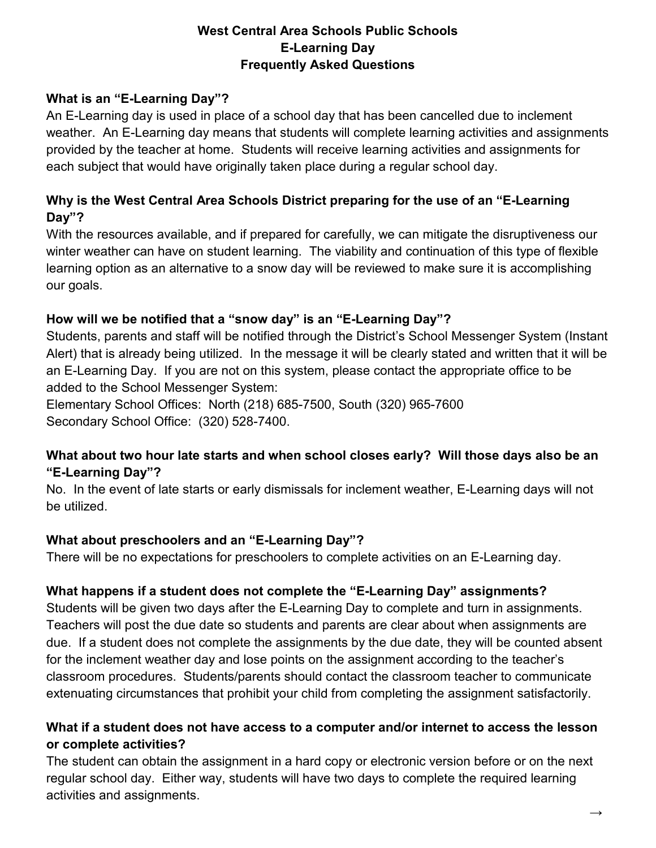### **West Central Area Schools Public Schools E-Learning Day Frequently Asked Questions**

#### **What is an "E-Learning Day"?**

An E-Learning day is used in place of a school day that has been cancelled due to inclement weather. An E-Learning day means that students will complete learning activities and assignments provided by the teacher at home. Students will receive learning activities and assignments for each subject that would have originally taken place during a regular school day.

# **Why is the West Central Area Schools District preparing for the use of an "E-Learning Day"?**

With the resources available, and if prepared for carefully, we can mitigate the disruptiveness our winter weather can have on student learning. The viability and continuation of this type of flexible learning option as an alternative to a snow day will be reviewed to make sure it is accomplishing our goals.

### **How will we be notified that a "snow day" is an "E-Learning Day"?**

Students, parents and staff will be notified through the District's School Messenger System (Instant Alert) that is already being utilized. In the message it will be clearly stated and written that it will be an E-Learning Day. If you are not on this system, please contact the appropriate office to be added to the School Messenger System:

Elementary School Offices: North (218) 685-7500, South (320) 965-7600 Secondary School Office: (320) 528-7400.

### **What about two hour late starts and when school closes early? Will those days also be an "E-Learning Day"?**

No. In the event of late starts or early dismissals for inclement weather, E-Learning days will not be utilized.

#### **What about preschoolers and an "E-Learning Day"?**

There will be no expectations for preschoolers to complete activities on an E-Learning day.

#### **What happens if a student does not complete the "E-Learning Day" assignments?**

Students will be given two days after the E-Learning Day to complete and turn in assignments. Teachers will post the due date so students and parents are clear about when assignments are due. If a student does not complete the assignments by the due date, they will be counted absent for the inclement weather day and lose points on the assignment according to the teacher's classroom procedures. Students/parents should contact the classroom teacher to communicate extenuating circumstances that prohibit your child from completing the assignment satisfactorily.

### **What if a student does not have access to a computer and/or internet to access the lesson or complete activities?**

The student can obtain the assignment in a hard copy or electronic version before or on the next regular school day. Either way, students will have two days to complete the required learning activities and assignments.